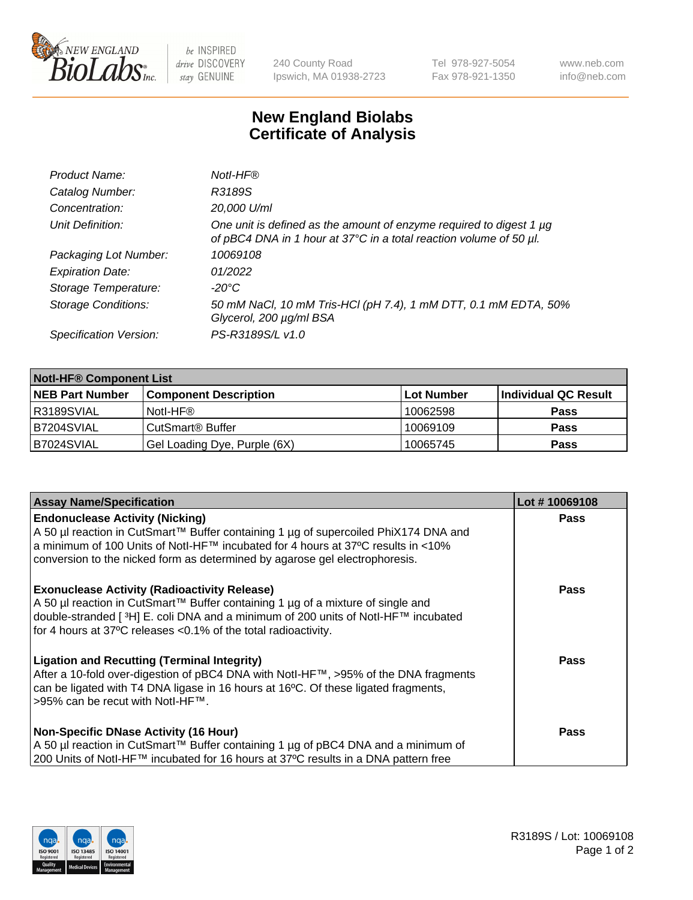

 $be$  INSPIRED drive DISCOVERY stay GENUINE

240 County Road Ipswich, MA 01938-2723 Tel 978-927-5054 Fax 978-921-1350 www.neb.com info@neb.com

## **New England Biolabs Certificate of Analysis**

| Product Name:              | Notl-HF®                                                                                                                                  |
|----------------------------|-------------------------------------------------------------------------------------------------------------------------------------------|
| Catalog Number:            | R3189S                                                                                                                                    |
| Concentration:             | 20,000 U/ml                                                                                                                               |
| Unit Definition:           | One unit is defined as the amount of enzyme required to digest 1 µg<br>of pBC4 DNA in 1 hour at 37°C in a total reaction volume of 50 µl. |
| Packaging Lot Number:      | 10069108                                                                                                                                  |
| <b>Expiration Date:</b>    | 01/2022                                                                                                                                   |
| Storage Temperature:       | $-20^{\circ}$ C                                                                                                                           |
| <b>Storage Conditions:</b> | 50 mM NaCl, 10 mM Tris-HCl (pH 7.4), 1 mM DTT, 0.1 mM EDTA, 50%<br>Glycerol, 200 µg/ml BSA                                                |
| Specification Version:     | PS-R3189S/L v1.0                                                                                                                          |

| <b>Notl-HF® Component List</b> |                              |            |                      |  |  |
|--------------------------------|------------------------------|------------|----------------------|--|--|
| <b>NEB Part Number</b>         | <b>Component Description</b> | Lot Number | Individual QC Result |  |  |
| R3189SVIAL                     | Notl-HF®                     | 10062598   | <b>Pass</b>          |  |  |
| B7204SVIAL                     | CutSmart <sup>®</sup> Buffer | 10069109   | <b>Pass</b>          |  |  |
| B7024SVIAL                     | Gel Loading Dye, Purple (6X) | 10065745   | <b>Pass</b>          |  |  |

| <b>Assay Name/Specification</b>                                                                                                                                                                                                                                                                             | Lot #10069108 |
|-------------------------------------------------------------------------------------------------------------------------------------------------------------------------------------------------------------------------------------------------------------------------------------------------------------|---------------|
| <b>Endonuclease Activity (Nicking)</b><br>A 50 µl reaction in CutSmart™ Buffer containing 1 µg of supercoiled PhiX174 DNA and                                                                                                                                                                               | <b>Pass</b>   |
| a minimum of 100 Units of Notl-HF™ incubated for 4 hours at 37°C results in <10%<br>conversion to the nicked form as determined by agarose gel electrophoresis.                                                                                                                                             |               |
| <b>Exonuclease Activity (Radioactivity Release)</b><br>A 50 µl reaction in CutSmart™ Buffer containing 1 µg of a mixture of single and<br>double-stranded [ <sup>3</sup> H] E. coli DNA and a minimum of 200 units of Notl-HF™ incubated<br>for 4 hours at 37°C releases < 0.1% of the total radioactivity. | Pass          |
| <b>Ligation and Recutting (Terminal Integrity)</b><br>After a 10-fold over-digestion of pBC4 DNA with Notl-HF™, >95% of the DNA fragments<br>can be ligated with T4 DNA ligase in 16 hours at 16°C. Of these ligated fragments,<br>>95% can be recut with Notl-HF™.                                         | <b>Pass</b>   |
| <b>Non-Specific DNase Activity (16 Hour)</b><br>A 50 µl reaction in CutSmart™ Buffer containing 1 µg of pBC4 DNA and a minimum of<br>200 Units of Notl-HF™ incubated for 16 hours at 37°C results in a DNA pattern free                                                                                     | <b>Pass</b>   |